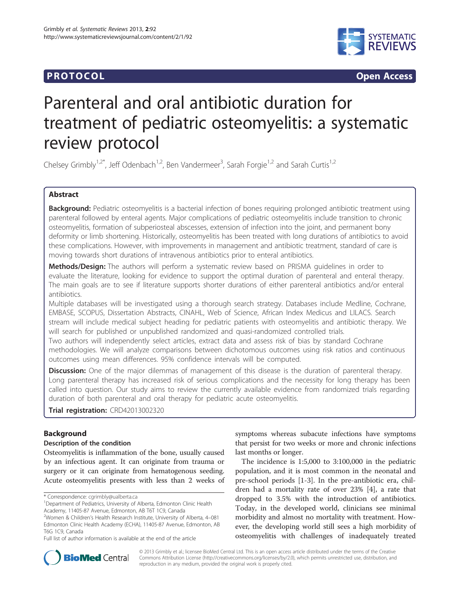## **PROTOCOL CONSUMING ACCESS CONSUMING ACCESS**



# Parenteral and oral antibiotic duration for treatment of pediatric osteomyelitis: a systematic review protocol

Chelsey Grimbly<sup>1,2\*</sup>, Jeff Odenbach<sup>1,2</sup>, Ben Vandermeer<sup>3</sup>, Sarah Forgie<sup>1,2</sup> and Sarah Curtis<sup>1,2</sup>

## Abstract

Background: Pediatric osteomyelitis is a bacterial infection of bones requiring prolonged antibiotic treatment using parenteral followed by enteral agents. Major complications of pediatric osteomyelitis include transition to chronic osteomyelitis, formation of subperiosteal abscesses, extension of infection into the joint, and permanent bony deformity or limb shortening. Historically, osteomyelitis has been treated with long durations of antibiotics to avoid these complications. However, with improvements in management and antibiotic treatment, standard of care is moving towards short durations of intravenous antibiotics prior to enteral antibiotics.

Methods/Design: The authors will perform a systematic review based on PRISMA quidelines in order to evaluate the literature, looking for evidence to support the optimal duration of parenteral and enteral therapy. The main goals are to see if literature supports shorter durations of either parenteral antibiotics and/or enteral antibiotics.

Multiple databases will be investigated using a thorough search strategy. Databases include Medline, Cochrane, EMBASE, SCOPUS, Dissertation Abstracts, CINAHL, Web of Science, African Index Medicus and LILACS. Search stream will include medical subject heading for pediatric patients with osteomyelitis and antibiotic therapy. We will search for published or unpublished randomized and quasi-randomized controlled trials.

Two authors will independently select articles, extract data and assess risk of bias by standard Cochrane methodologies. We will analyze comparisons between dichotomous outcomes using risk ratios and continuous outcomes using mean differences. 95% confidence intervals will be computed.

**Discussion:** One of the major dilemmas of management of this disease is the duration of parenteral therapy. Long parenteral therapy has increased risk of serious complications and the necessity for long therapy has been called into question. Our study aims to review the currently available evidence from randomized trials regarding duration of both parenteral and oral therapy for pediatric acute osteomyelitis.

Trial registration: [CRD42013002320](http://www.crd.york.ac.uk/PROSPERO/display_record.asp?ID=CRD42013002320#.UkGDRrzhFVc)

## Background

#### Description of the condition

Osteomyelitis is inflammation of the bone, usually caused by an infectious agent. It can originate from trauma or surgery or it can originate from hematogenous seeding. Acute osteomyelitis presents with less than 2 weeks of

symptoms whereas subacute infections have symptoms that persist for two weeks or more and chronic infections last months or longer.

The incidence is 1:5,000 to 3:100,000 in the pediatric population, and it is most common in the neonatal and pre-school periods [\[1](#page-5-0)-[3\]](#page-5-0). In the pre-antibiotic era, children had a mortality rate of over 23% [\[4](#page-5-0)], a rate that dropped to 3.5% with the introduction of antibiotics. Today, in the developed world, clinicians see minimal morbidity and almost no mortality with treatment. However, the developing world still sees a high morbidity of osteomyelitis with challenges of inadequately treated



© 2013 Grimbly et al.; licensee BioMed Central Ltd. This is an open access article distributed under the terms of the Creative Commons Attribution License [\(http://creativecommons.org/licenses/by/2.0\)](http://creativecommons.org/licenses/by/2.0), which permits unrestricted use, distribution, and reproduction in any medium, provided the original work is properly cited.

<sup>\*</sup> Correspondence: [cgrimbly@ualberta.ca](mailto:cgrimbly@ualberta.ca) <sup>1</sup>

<sup>&</sup>lt;sup>1</sup>Department of Pediatrics, University of Alberta, Edmonton Clinic Health Academy, 11405-87 Avenue, Edmonton, AB T6T 1C9, Canada

<sup>&</sup>lt;sup>2</sup>Women & Children's Health Research Institute, University of Alberta, 4-081 Edmonton Clinic Health Academy (ECHA), 11405-87 Avenue, Edmonton, AB T6G 1C9, Canada

Full list of author information is available at the end of the article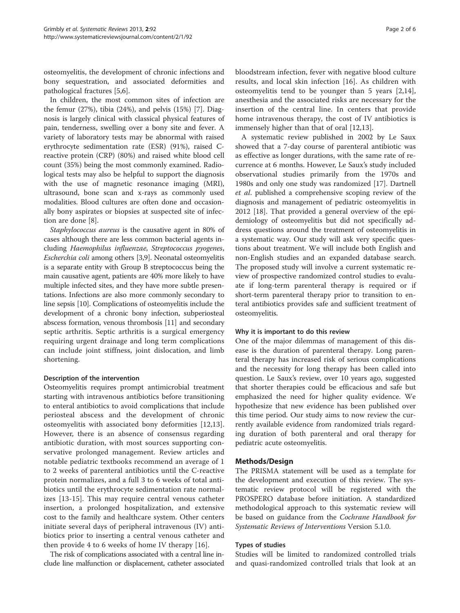osteomyelitis, the development of chronic infections and bony sequestration, and associated deformities and pathological fractures [[5,6\]](#page-5-0).

In children, the most common sites of infection are the femur (27%), tibia (24%), and pelvis (15%) [\[7](#page-5-0)]. Diagnosis is largely clinical with classical physical features of pain, tenderness, swelling over a bony site and fever. A variety of laboratory tests may be abnormal with raised erythrocyte sedimentation rate (ESR) (91%), raised Creactive protein (CRP) (80%) and raised white blood cell count (35%) being the most commonly examined. Radiological tests may also be helpful to support the diagnosis with the use of magnetic resonance imaging (MRI), ultrasound, bone scan and x-rays as commonly used modalities. Blood cultures are often done and occasionally bony aspirates or biopsies at suspected site of infection are done [[8](#page-5-0)].

Staphylococcus aureus is the causative agent in 80% of cases although there are less common bacterial agents including Haemophilus influenzae, Streptococcus pyogenes, Escherchia coli among others [[3](#page-5-0),[9](#page-5-0)]. Neonatal osteomyelitis is a separate entity with Group B streptococcus being the main causative agent, patients are 40% more likely to have multiple infected sites, and they have more subtle presentations. Infections are also more commonly secondary to line sepsis [[10](#page-5-0)]. Complications of osteomyelitis include the development of a chronic bony infection, subperiosteal abscess formation, venous thrombosis [\[11](#page-5-0)] and secondary septic arthritis. Septic arthritis is a surgical emergency requiring urgent drainage and long term complications can include joint stiffness, joint dislocation, and limb shortening.

#### Description of the intervention

Osteomyelitis requires prompt antimicrobial treatment starting with intravenous antibiotics before transitioning to enteral antibiotics to avoid complications that include periosteal abscess and the development of chronic osteomyelitis with associated bony deformities [[12,13](#page-5-0)]. However, there is an absence of consensus regarding antibiotic duration, with most sources supporting conservative prolonged management. Review articles and notable pediatric textbooks recommend an average of 1 to 2 weeks of parenteral antibiotics until the C-reactive protein normalizes, and a full 3 to 6 weeks of total antibiotics until the erythrocyte sedimentation rate normalizes [\[13-15](#page-5-0)]. This may require central venous catheter insertion, a prolonged hospitalization, and extensive cost to the family and healthcare system. Other centers initiate several days of peripheral intravenous (IV) antibiotics prior to inserting a central venous catheter and then provide 4 to 6 weeks of home IV therapy [[16\]](#page-5-0).

The risk of complications associated with a central line include line malfunction or displacement, catheter associated bloodstream infection, fever with negative blood culture results, and local skin infection [\[16](#page-5-0)]. As children with osteomyelitis tend to be younger than 5 years [[2,14](#page-5-0)], anesthesia and the associated risks are necessary for the insertion of the central line. In centers that provide home intravenous therapy, the cost of IV antibiotics is immensely higher than that of oral [\[12,13](#page-5-0)].

A systematic review published in 2002 by Le Saux showed that a 7-day course of parenteral antibiotic was as effective as longer durations, with the same rate of recurrence at 6 months. However, Le Saux's study included observational studies primarily from the 1970s and 1980s and only one study was randomized [[17\]](#page-5-0). Dartnell et al. published a comprehensive scoping review of the diagnosis and management of pediatric osteomyelitis in 2012 [\[18](#page-5-0)]. That provided a general overview of the epidemiology of osteomyelitis but did not specifically address questions around the treatment of osteomyelitis in a systematic way. Our study will ask very specific questions about treatment. We will include both English and non-English studies and an expanded database search. The proposed study will involve a current systematic review of prospective randomized control studies to evaluate if long-term parenteral therapy is required or if short-term parenteral therapy prior to transition to enteral antibiotics provides safe and sufficient treatment of osteomyelitis.

#### Why it is important to do this review

One of the major dilemmas of management of this disease is the duration of parenteral therapy. Long parenteral therapy has increased risk of serious complications and the necessity for long therapy has been called into question. Le Saux's review, over 10 years ago, suggested that shorter therapies could be efficacious and safe but emphasized the need for higher quality evidence. We hypothesize that new evidence has been published over this time period. Our study aims to now review the currently available evidence from randomized trials regarding duration of both parenteral and oral therapy for pediatric acute osteomyelitis.

#### Methods/Design

The PRISMA statement will be used as a template for the development and execution of this review. The systematic review protocol will be registered with the PROSPERO database before initiation. A standardized methodological approach to this systematic review will be based on guidance from the Cochrane Handbook for Systematic Reviews of Interventions Version 5.1.0.

#### Types of studies

Studies will be limited to randomized controlled trials and quasi-randomized controlled trials that look at an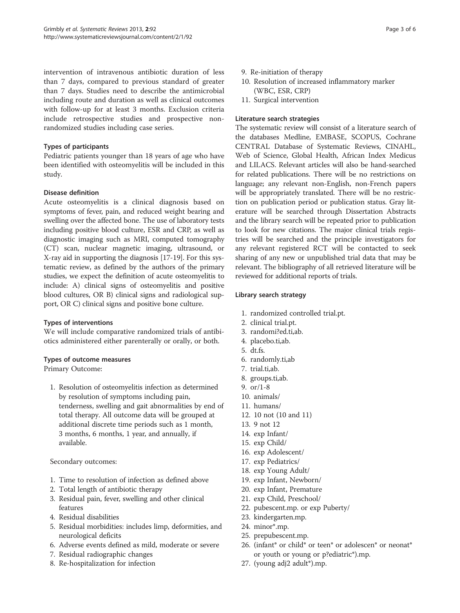intervention of intravenous antibiotic duration of less than 7 days, compared to previous standard of greater than 7 days. Studies need to describe the antimicrobial including route and duration as well as clinical outcomes with follow-up for at least 3 months. Exclusion criteria include retrospective studies and prospective nonrandomized studies including case series.

#### Types of participants

Pediatric patients younger than 18 years of age who have been identified with osteomyelitis will be included in this study.

## Disease definition

Acute osteomyelitis is a clinical diagnosis based on symptoms of fever, pain, and reduced weight bearing and swelling over the affected bone. The use of laboratory tests including positive blood culture, ESR and CRP, as well as diagnostic imaging such as MRI, computed tomography (CT) scan, nuclear magnetic imaging, ultrasound, or X-ray aid in supporting the diagnosis [[17-19\]](#page-5-0). For this systematic review, as defined by the authors of the primary studies, we expect the definition of acute osteomyelitis to include: A) clinical signs of osteomyelitis and positive blood cultures, OR B) clinical signs and radiological support, OR C) clinical signs and positive bone culture.

## Types of interventions

We will include comparative randomized trials of antibiotics administered either parenterally or orally, or both.

## Types of outcome measures

Primary Outcome:

1. Resolution of osteomyelitis infection as determined by resolution of symptoms including pain, tenderness, swelling and gait abnormalities by end of total therapy. All outcome data will be grouped at additional discrete time periods such as 1 month, 3 months, 6 months, 1 year, and annually, if available.

Secondary outcomes:

- 1. Time to resolution of infection as defined above
- 2. Total length of antibiotic therapy
- 3. Residual pain, fever, swelling and other clinical features
- 4. Residual disabilities
- 5. Residual morbidities: includes limp, deformities, and neurological deficits
- 6. Adverse events defined as mild, moderate or severe
- 7. Residual radiographic changes
- 8. Re-hospitalization for infection
- 9. Re-initiation of therapy
- 10. Resolution of increased inflammatory marker (WBC, ESR, CRP)
- 11. Surgical intervention

## Literature search strategies

The systematic review will consist of a literature search of the databases Medline, EMBASE, SCOPUS, Cochrane CENTRAL Database of Systematic Reviews, CINAHL, Web of Science, Global Health, African Index Medicus and LILACS. Relevant articles will also be hand-searched for related publications. There will be no restrictions on language; any relevant non-English, non-French papers will be appropriately translated. There will be no restriction on publication period or publication status. Gray literature will be searched through Dissertation Abstracts and the library search will be repeated prior to publication to look for new citations. The major clinical trials registries will be searched and the principle investigators for any relevant registered RCT will be contacted to seek sharing of any new or unpublished trial data that may be relevant. The bibliography of all retrieved literature will be reviewed for additional reports of trials.

#### Library search strategy

- 1. randomized controlled trial.pt.
- 2. clinical trial.pt.
- 3. randomi?ed.ti,ab.
- 4. placebo.ti,ab.
- 5. dt.fs.
- 6. randomly.ti,ab
- 7. trial.ti,ab.
- 8. groups.ti,ab.
- 9. or/1-8
- 10. animals/
- 11. humans/
- 12. 10 not (10 and 11)
- 13. 9 not 12
- 14. exp Infant/
- 15. exp Child/
- 16. exp Adolescent/
- 17. exp Pediatrics/
- 18. exp Young Adult/
- 19. exp Infant, Newborn/
- 20. exp Infant, Premature
- 21. exp Child, Preschool/
- 22. pubescent.mp. or exp Puberty/
- 23. kindergarten.mp.
- 24. minor\*.mp.
- 25. prepubescent.mp.
- 26. (infant\* or child\* or teen\* or adolescen\* or neonat\* or youth or young or p?ediatric\*).mp.
- 27. (young adj2 adult\*).mp.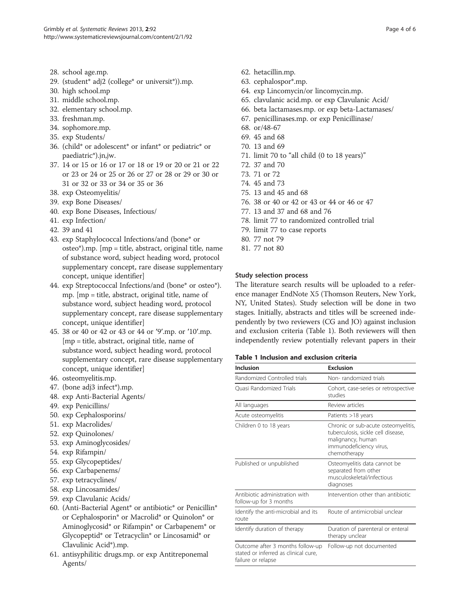- 28. school age.mp.
- 29. (student\* adj2 (college\* or universit\*)).mp.
- 30. high school.mp
- 31. middle school.mp.
- 32. elementary school.mp.
- 33. freshman.mp.
- 34. sophomore.mp.
- 35. exp Students/
- 36. (child\* or adolescent\* or infant\* or pediatric\* or paediatric\*).jn,jw.
- 37. 14 or 15 or 16 or 17 or 18 or 19 or 20 or 21 or 22 or 23 or 24 or 25 or 26 or 27 or 28 or 29 or 30 or 31 or 32 or 33 or 34 or 35 or 36
- 38. exp Osteomyelitis/
- 39. exp Bone Diseases/
- 40. exp Bone Diseases, Infectious/
- 41. exp Infection/
- 42. 39 and 41
- 43. exp Staphylococcal Infections/and (bone\* or osteo\*).mp. [mp = title, abstract, original title, name of substance word, subject heading word, protocol supplementary concept, rare disease supplementary concept, unique identifier]
- 44. exp Streptococcal Infections/and (bone\* or osteo\*). mp. [mp = title, abstract, original title, name of substance word, subject heading word, protocol supplementary concept, rare disease supplementary concept, unique identifier]
- 45. 38 or 40 or 42 or 43 or 44 or ′9′.mp. or ′10′.mp. [mp = title, abstract, original title, name of substance word, subject heading word, protocol supplementary concept, rare disease supplementary concept, unique identifier]
- 46. osteomyelitis.mp.
- 47. (bone adj3 infect\*).mp.
- 48. exp Anti-Bacterial Agents/
- 49. exp Penicillins/
- 50. exp Cephalosporins/
- 51. exp Macrolides/
- 52. exp Quinolones/
- 53. exp Aminoglycosides/
- 54. exp Rifampin/
- 55. exp Glycopeptides/
- 56. exp Carbapenems/
- 57. exp tetracyclines/
- 58. exp Lincosamides/
- 59. exp Clavulanic Acids/
- 60. (Anti-Bacterial Agent\* or antibiotic\* or Penicillin\* or Cephalosporin\* or Macrolid\* or Quinolon\* or Aminoglycosid\* or Rifampin\* or Carbapenem\* or Glycopeptid\* or Tetracyclin\* or Lincosamid\* or Clavulinic Acid\*).mp.
- 61. antisyphilitic drugs.mp. or exp Antitreponemal Agents/
- 62. hetacillin.mp.
- 63. cephalospor\*.mp.
- 64. exp Lincomycin/or lincomycin.mp.
- 65. clavulanic acid.mp. or exp Clavulanic Acid/
- 66. beta lactamases.mp. or exp beta-Lactamases/
- 67. penicillinases.mp. or exp Penicillinase/
- 68. or/48-67
- 69. 45 and 68
- 70. 13 and 69
- 71. limit 70 to "all child (0 to 18 years)"
- 72. 37 and 70
- 73. 71 or 72
- 74. 45 and 73
- 75. 13 and 45 and 68
- 76. 38 or 40 or 42 or 43 or 44 or 46 or 47
- 77. 13 and 37 and 68 and 76
- 78. limit 77 to randomized controlled trial
- 79. limit 77 to case reports
- 80. 77 not 79
- 81. 77 not 80

#### Study selection process

The literature search results will be uploaded to a reference manager EndNote X5 (Thomson Reuters, New York, NY, United States). Study selection will be done in two stages. Initially, abstracts and titles will be screened independently by two reviewers (CG and JO) against inclusion and exclusion criteria (Table 1). Both reviewers will then independently review potentially relevant papers in their

### Table 1 Inclusion and exclusion criteria

| Inclusion                                                                                      | <b>Exclusion</b>                                                                                                                          |
|------------------------------------------------------------------------------------------------|-------------------------------------------------------------------------------------------------------------------------------------------|
| Randomized Controlled trials                                                                   | Non-randomized trials                                                                                                                     |
| <b>Ouasi Randomized Trials</b>                                                                 | Cohort, case-series or retrospective<br>studies                                                                                           |
| All languages                                                                                  | Review articles                                                                                                                           |
| Acute osteomyelitis                                                                            | Patients >18 years                                                                                                                        |
| Children 0 to 18 years                                                                         | Chronic or sub-acute osteomyelitis,<br>tuberculosis, sickle cell disease,<br>malignancy, human<br>immunodeficiency virus,<br>chemotherapy |
| Published or unpublished                                                                       | Osteomyelitis data cannot be<br>separated from other<br>musculoskeletal/infectious<br>diagnoses                                           |
| Antibiotic administration with<br>follow-up for 3 months                                       | Intervention other than antibiotic                                                                                                        |
| Identify the anti-microbial and its<br>route                                                   | Route of antimicrobial unclear                                                                                                            |
| Identify duration of therapy                                                                   | Duration of parenteral or enteral<br>therapy unclear                                                                                      |
| Outcome after 3 months follow-up<br>stated or inferred as clinical cure,<br>failure or relapse | Follow-up not documented                                                                                                                  |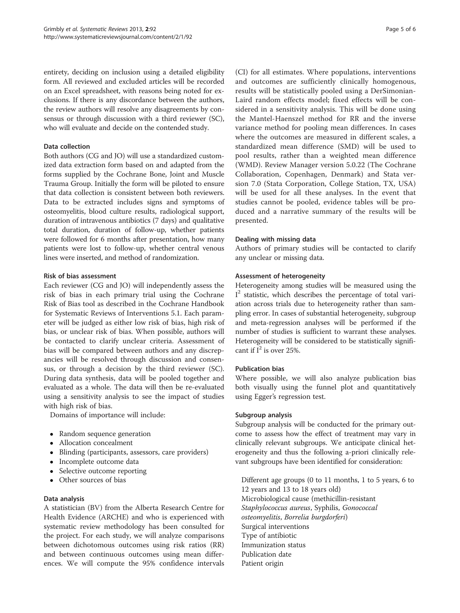entirety, deciding on inclusion using a detailed eligibility form. All reviewed and excluded articles will be recorded on an Excel spreadsheet, with reasons being noted for exclusions. If there is any discordance between the authors, the review authors will resolve any disagreements by consensus or through discussion with a third reviewer (SC), who will evaluate and decide on the contended study.

#### Data collection

Both authors (CG and JO) will use a standardized customized data extraction form based on and adapted from the forms supplied by the Cochrane Bone, Joint and Muscle Trauma Group. Initially the form will be piloted to ensure that data collection is consistent between both reviewers. Data to be extracted includes signs and symptoms of osteomyelitis, blood culture results, radiological support, duration of intravenous antibiotics (7 days) and qualitative total duration, duration of follow-up, whether patients were followed for 6 months after presentation, how many patients were lost to follow-up, whether central venous lines were inserted, and method of randomization.

#### Risk of bias assessment

Each reviewer (CG and JO) will independently assess the risk of bias in each primary trial using the Cochrane Risk of Bias tool as described in the Cochrane Handbook for Systematic Reviews of Interventions 5.1. Each parameter will be judged as either low risk of bias, high risk of bias, or unclear risk of bias. When possible, authors will be contacted to clarify unclear criteria. Assessment of bias will be compared between authors and any discrepancies will be resolved through discussion and consensus, or through a decision by the third reviewer (SC). During data synthesis, data will be pooled together and evaluated as a whole. The data will then be re-evaluated using a sensitivity analysis to see the impact of studies with high risk of bias.

Domains of importance will include:

- Random sequence generation
- Allocation concealment
- Blinding (participants, assessors, care providers)
- Incomplete outcome data
- Selective outcome reporting
- Other sources of bias

#### Data analysis

A statistician (BV) from the Alberta Research Centre for Health Evidence (ARCHE) and who is experienced with systematic review methodology has been consulted for the project. For each study, we will analyze comparisons between dichotomous outcomes using risk ratios (RR) and between continuous outcomes using mean differences. We will compute the 95% confidence intervals

(CI) for all estimates. Where populations, interventions and outcomes are sufficiently clinically homogenous, results will be statistically pooled using a DerSimonian-Laird random effects model; fixed effects will be considered in a sensitivity analysis. This will be done using the Mantel-Haenszel method for RR and the inverse variance method for pooling mean differences. In cases where the outcomes are measured in different scales, a standardized mean difference (SMD) will be used to pool results, rather than a weighted mean difference (WMD). Review Manager version 5.0.22 (The Cochrane Collaboration, Copenhagen, Denmark) and Stata version 7.0 (Stata Corporation, College Station, TX, USA) will be used for all these analyses. In the event that studies cannot be pooled, evidence tables will be produced and a narrative summary of the results will be presented.

#### Dealing with missing data

Authors of primary studies will be contacted to clarify any unclear or missing data.

#### Assessment of heterogeneity

Heterogeneity among studies will be measured using the I <sup>2</sup> statistic, which describes the percentage of total variation across trials due to heterogeneity rather than sampling error. In cases of substantial heterogeneity, subgroup and meta-regression analyses will be performed if the number of studies is sufficient to warrant these analyses. Heterogeneity will be considered to be statistically significant if  $I^2$  is over 25%.

## Publication bias

Where possible, we will also analyze publication bias both visually using the funnel plot and quantitatively using Egger's regression test.

#### Subgroup analysis

Subgroup analysis will be conducted for the primary outcome to assess how the effect of treatment may vary in clinically relevant subgroups. We anticipate clinical heterogeneity and thus the following a-priori clinically relevant subgroups have been identified for consideration:

Different age groups (0 to 11 months, 1 to 5 years, 6 to 12 years and 13 to 18 years old) Microbiological cause (methicillin-resistant Staphylococcus aureus, Syphilis, Gonococcal osteomyelitis, Borrelia burgdorferi) Surgical interventions Type of antibiotic Immunization status Publication date Patient origin